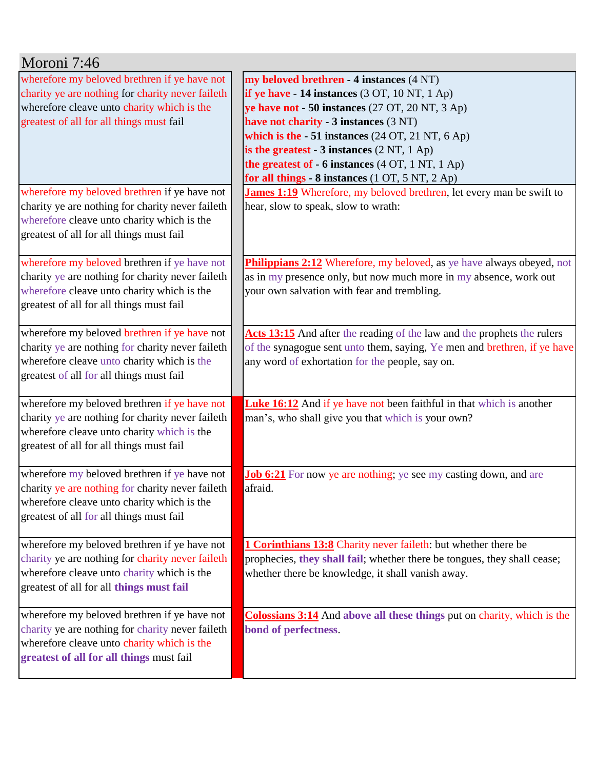| Moroni 7:46                                                                                                                                                                                                                                |                                                                                                                                                                                                                                                                                                                                                                                                                                                                                              |
|--------------------------------------------------------------------------------------------------------------------------------------------------------------------------------------------------------------------------------------------|----------------------------------------------------------------------------------------------------------------------------------------------------------------------------------------------------------------------------------------------------------------------------------------------------------------------------------------------------------------------------------------------------------------------------------------------------------------------------------------------|
| wherefore my beloved brethren if ye have not<br>charity ye are nothing for charity never faileth<br>wherefore cleave unto charity which is the<br>greatest of all for all things must fail<br>wherefore my beloved brethren if ye have not | my beloved brethren - 4 instances (4 NT)<br>if ye have $-14$ instances (3 OT, 10 NT, 1 Ap)<br>ye have not - 50 instances (27 OT, 20 NT, 3 Ap)<br>have not charity - 3 instances (3 NT)<br>which is the $-51$ instances (24 OT, 21 NT, 6 Ap)<br>is the greatest - $3$ instances $(2 \text{ NT}, 1 \text{ Ap})$<br>the greatest of - 6 instances (4 OT, 1 NT, 1 Ap)<br>for all things - 8 instances (1 OT, 5 NT, 2 Ap)<br>James 1:19 Wherefore, my beloved brethren, let every man be swift to |
| charity ye are nothing for charity never faileth<br>wherefore cleave unto charity which is the<br>greatest of all for all things must fail                                                                                                 | hear, slow to speak, slow to wrath:                                                                                                                                                                                                                                                                                                                                                                                                                                                          |
| wherefore my beloved brethren if ye have not<br>charity ye are nothing for charity never faileth<br>wherefore cleave unto charity which is the<br>greatest of all for all things must fail                                                 | Philippians 2:12 Wherefore, my beloved, as ye have always obeyed, not<br>as in my presence only, but now much more in my absence, work out<br>your own salvation with fear and trembling.                                                                                                                                                                                                                                                                                                    |
| wherefore my beloved brethren if ye have not<br>charity ye are nothing for charity never faileth<br>wherefore cleave unto charity which is the<br>greatest of all for all things must fail                                                 | Acts 13:15 And after the reading of the law and the prophets the rulers<br>of the synagogue sent unto them, saying, Ye men and brethren, if ye have<br>any word of exhortation for the people, say on.                                                                                                                                                                                                                                                                                       |
| wherefore my beloved brethren if ye have not<br>charity ye are nothing for charity never faileth<br>wherefore cleave unto charity which is the<br>greatest of all for all things must fail                                                 | <b>Luke 16:12</b> And if ye have not been faithful in that which is another<br>man's, who shall give you that which is your own?                                                                                                                                                                                                                                                                                                                                                             |
| wherefore my beloved brethren if ye have not<br>charity ye are nothing for charity never faileth<br>wherefore cleave unto charity which is the<br>greatest of all for all things must fail                                                 | Job 6:21 For now ye are nothing; ye see my casting down, and are<br>afraid.                                                                                                                                                                                                                                                                                                                                                                                                                  |
| wherefore my beloved brethren if ye have not<br>charity ye are nothing for charity never faileth<br>wherefore cleave unto charity which is the<br>greatest of all for all things must fail                                                 | <b>1 Corinthians 13:8</b> Charity never faileth: but whether there be<br>prophecies, they shall fail; whether there be tongues, they shall cease;<br>whether there be knowledge, it shall vanish away.                                                                                                                                                                                                                                                                                       |
| wherefore my beloved brethren if ye have not<br>charity ye are nothing for charity never faileth<br>wherefore cleave unto charity which is the<br>greatest of all for all things must fail                                                 | <b>Colossians 3:14</b> And above all these things put on charity, which is the<br>bond of perfectness.                                                                                                                                                                                                                                                                                                                                                                                       |